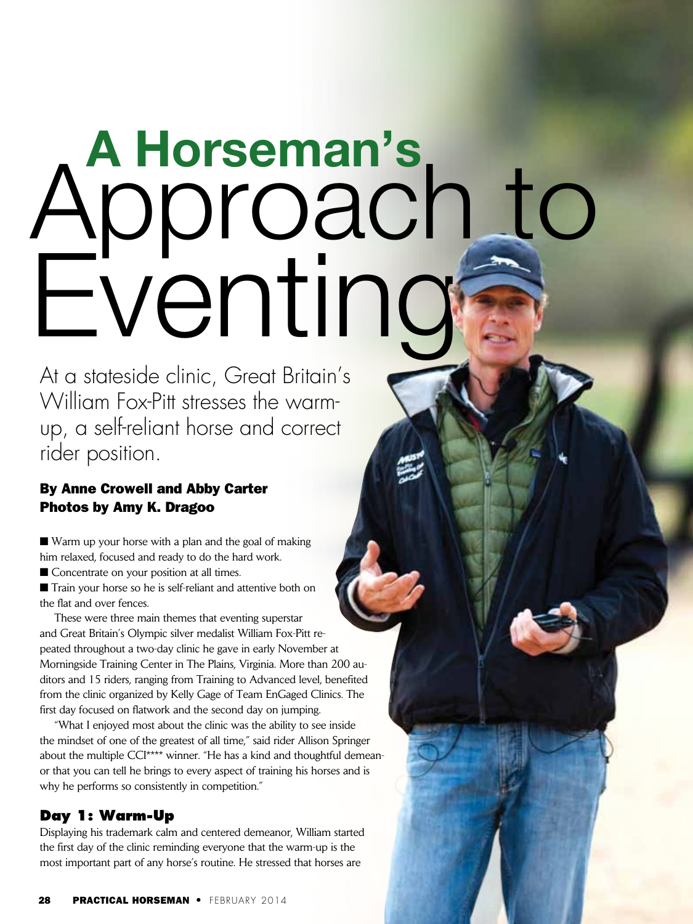# **A Horseman's** Approach to Eventing

At a stateside clinic, Great Britain's William Fox-Pitt stresses the warmup, a self-reliant horse and correct rider position.

## By Anne Crowell and Abby Carter Photos by Amy K. Dragoo

 $\blacksquare$  Warm up your horse with a plan and the goal of making him relaxed, focused and ready to do the hard work.

■ Concentrate on your position at all times.

■ Train your horse so he is self-reliant and attentive both on the flat and over fences.

These were three main themes that eventing superstar and Great Britain's Olympic silver medalist William Fox-Pitt repeated throughout a two-day clinic he gave in early November at Morningside Training Center in The Plains, Virginia. More than 200 auditors and 15 riders, ranging from Training to Advanced level, benefited from the clinic organized by Kelly Gage of Team EnGaged Clinics. The first day focused on flatwork and the second day on jumping.

"What I enjoyed most about the clinic was the ability to see inside the mindset of one of the greatest of all time," said rider Allison Springer about the multiple CCI\*\*\*\* winner. "He has a kind and thoughtful demeanor that you can tell he brings to every aspect of training his horses and is why he performs so consistently in competition."

## **Day 1: Warm-Up**

Displaying his trademark calm and centered demeanor, William started the first day of the clinic reminding everyone that the warm-up is the most important part of any horse's routine. He stressed that horses are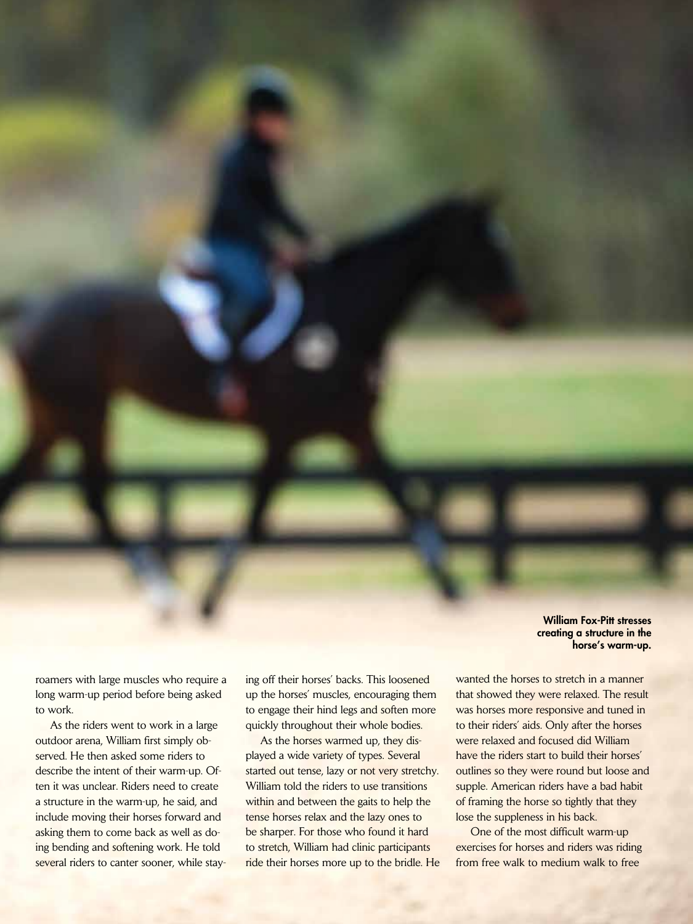William Fox-Pitt stresses creating a structure in the horse's warm-up.

roamers with large muscles who require a long warm-up period before being asked to work.

As the riders went to work in a large outdoor arena, William first simply observed. He then asked some riders to describe the intent of their warm-up. Often it was unclear. Riders need to create a structure in the warm-up, he said, and include moving their horses forward and asking them to come back as well as doing bending and softening work. He told several riders to canter sooner, while staying off their horses' backs. This loosened up the horses' muscles, encouraging them to engage their hind legs and soften more quickly throughout their whole bodies.

As the horses warmed up, they displayed a wide variety of types. Several started out tense, lazy or not very stretchy. William told the riders to use transitions within and between the gaits to help the tense horses relax and the lazy ones to be sharper. For those who found it hard to stretch, William had clinic participants ride their horses more up to the bridle. He wanted the horses to stretch in a manner that showed they were relaxed. The result was horses more responsive and tuned in to their riders' aids. Only after the horses were relaxed and focused did William have the riders start to build their horses' outlines so they were round but loose and supple. American riders have a bad habit of framing the horse so tightly that they lose the suppleness in his back.

One of the most difficult warm-up exercises for horses and riders was riding from free walk to medium walk to free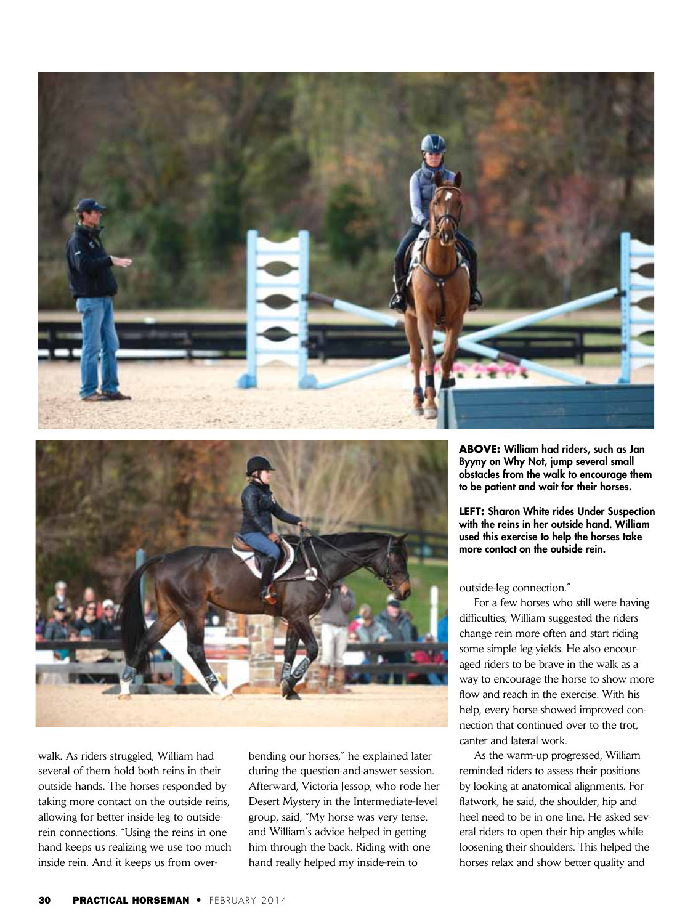



walk. As riders struggled, William had several of them hold both reins in their outside hands. The horses responded by taking more contact on the outside reins, allowing for better inside-leg to outsiderein connections. "Using the reins in one hand keeps us realizing we use too much inside rein. And it keeps us from over-

bending our horses," he explained later during the question-and-answer session. Afterward, Victoria Jessop, who rode her Desert Mystery in the Intermediate-level group, said, "My horse was very tense, and William's advice helped in getting him through the back. Riding with one hand really helped my inside-rein to

**ABOVE:** William had riders, such as Jan Byyny on Why Not, jump several small obstacles from the walk to encourage them to be patient and wait for their horses.

**LEFT:** Sharon White rides Under Suspection with the reins in her outside hand. William used this exercise to help the horses take more contact on the outside rein.

outside-leg connection."

For a few horses who still were having difficulties, William suggested the riders change rein more often and start riding some simple leg-yields. He also encouraged riders to be brave in the walk as a way to encourage the horse to show more flow and reach in the exercise. With his help, every horse showed improved connection that continued over to the trot, canter and lateral work.

As the warm-up progressed, William reminded riders to assess their positions by looking at anatomical alignments. For flatwork, he said, the shoulder, hip and heel need to be in one line. He asked several riders to open their hip angles while loosening their shoulders. This helped the horses relax and show better quality and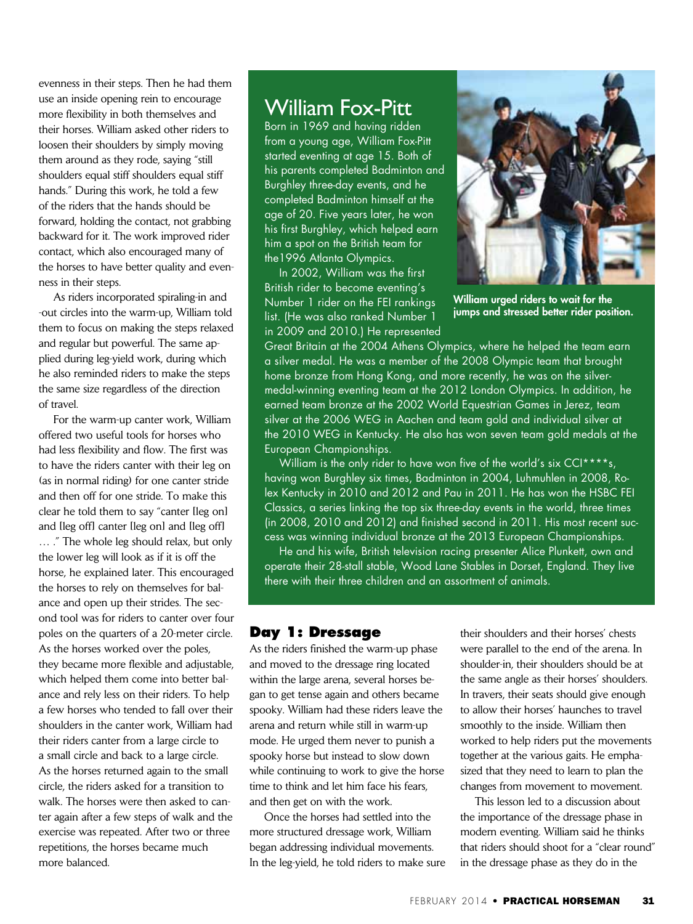evenness in their steps. Then he had them use an inside opening rein to encourage more flexibility in both themselves and their horses. William asked other riders to loosen their shoulders by simply moving them around as they rode, saying "still shoulders equal stiff shoulders equal stiff hands." During this work, he told a few of the riders that the hands should be forward, holding the contact, not grabbing backward for it. The work improved rider contact, which also encouraged many of the horses to have better quality and evenness in their steps.

As riders incorporated spiraling-in and -out circles into the warm-up, William told them to focus on making the steps relaxed and regular but powerful. The same applied during leg-yield work, during which he also reminded riders to make the steps the same size regardless of the direction of travel.

For the warm-up canter work, William offered two useful tools for horses who had less flexibility and flow. The first was to have the riders canter with their leg on (as in normal riding) for one canter stride and then off for one stride. To make this clear he told them to say "canter [leg on] and [leg off] canter [leg on] and [leg off] … ." The whole leg should relax, but only the lower leg will look as if it is off the horse, he explained later. This encouraged the horses to rely on themselves for balance and open up their strides. The second tool was for riders to canter over four poles on the quarters of a 20-meter circle. As the horses worked over the poles, they became more flexible and adjustable, which helped them come into better balance and rely less on their riders. To help a few horses who tended to fall over their shoulders in the canter work, William had their riders canter from a large circle to a small circle and back to a large circle. As the horses returned again to the small circle, the riders asked for a transition to walk. The horses were then asked to canter again after a few steps of walk and the exercise was repeated. After two or three repetitions, the horses became much more balanced.

# William Fox-Pitt

Born in 1969 and having ridden from a young age, William Fox-Pitt started eventing at age 15. Both of his parents completed Badminton and Burghley three-day events, and he completed Badminton himself at the age of 20. Five years later, he won his first Burghley, which helped earn him a spot on the British team for the1996 Atlanta Olympics.

In 2002, William was the first British rider to become eventing's Number 1 rider on the FEI rankings list. (He was also ranked Number 1 in 2009 and 2010.) He represented



William urged riders to wait for the jumps and stressed better rider position.

Great Britain at the 2004 Athens Olympics, where he helped the team earn a silver medal. He was a member of the 2008 Olympic team that brought home bronze from Hong Kong, and more recently, he was on the silvermedal-winning eventing team at the 2012 London Olympics. In addition, he earned team bronze at the 2002 World Equestrian Games in Jerez, team silver at the 2006 WEG in Aachen and team gold and individual silver at the 2010 WEG in Kentucky. He also has won seven team gold medals at the European Championships.

William is the only rider to have won five of the world's six CCI\*\*\*\*s, having won Burghley six times, Badminton in 2004, Luhmuhlen in 2008, Rolex Kentucky in 2010 and 2012 and Pau in 2011. He has won the HSBC FEI Classics, a series linking the top six three-day events in the world, three times (in 2008, 2010 and 2012) and finished second in 2011. His most recent success was winning individual bronze at the 2013 European Championships.

He and his wife, British television racing presenter Alice Plunkett, own and operate their 28-stall stable, Wood Lane Stables in Dorset, England. They live there with their three children and an assortment of animals.

### **Day 1: Dressage**

As the riders finished the warm-up phase and moved to the dressage ring located within the large arena, several horses began to get tense again and others became spooky. William had these riders leave the arena and return while still in warm-up mode. He urged them never to punish a spooky horse but instead to slow down while continuing to work to give the horse time to think and let him face his fears, and then get on with the work.

Once the horses had settled into the more structured dressage work, William began addressing individual movements. In the leg-yield, he told riders to make sure their shoulders and their horses' chests were parallel to the end of the arena. In shoulder-in, their shoulders should be at the same angle as their horses' shoulders. In travers, their seats should give enough to allow their horses' haunches to travel smoothly to the inside. William then worked to help riders put the movements together at the various gaits. He emphasized that they need to learn to plan the changes from movement to movement.

This lesson led to a discussion about the importance of the dressage phase in modern eventing. William said he thinks that riders should shoot for a "clear round" in the dressage phase as they do in the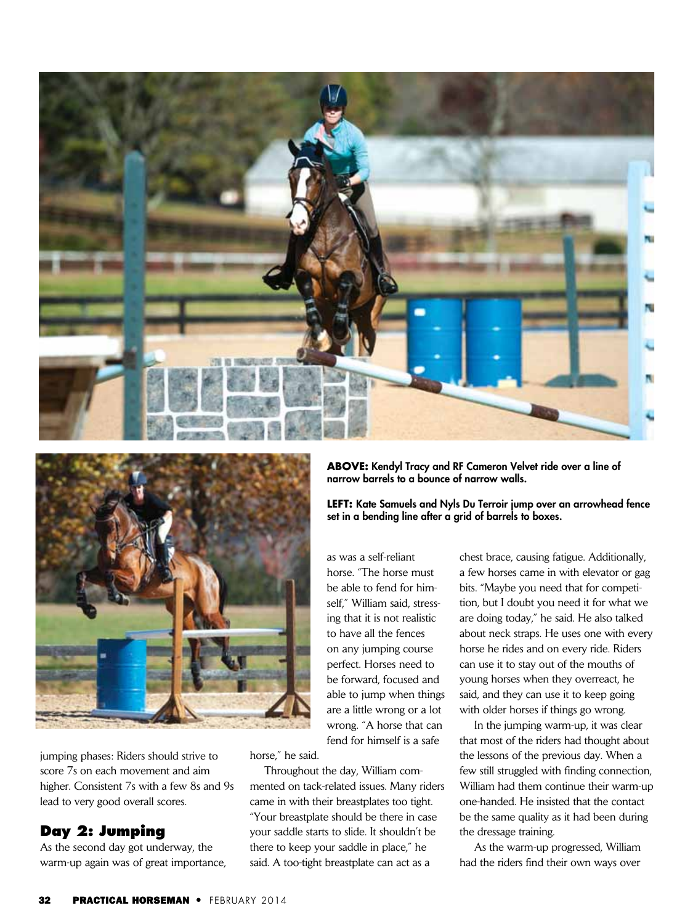



jumping phases: Riders should strive to score 7s on each movement and aim higher. Consistent 7s with a few 8s and 9s lead to very good overall scores.

#### **Day 2: Jumping**

As the second day got underway, the warm-up again was of great importance, **ABOVE:** Kendyl Tracy and RF Cameron Velvet ride over a line of narrow barrels to a bounce of narrow walls.

**LEFT:** Kate Samuels and Nyls Du Terroir jump over an arrowhead fence set in a bending line after a grid of barrels to boxes.

as was a self-reliant horse. "The horse must be able to fend for himself," William said, stressing that it is not realistic to have all the fences on any jumping course perfect. Horses need to be forward, focused and able to jump when things are a little wrong or a lot wrong. "A horse that can fend for himself is a safe

horse," he said.

Throughout the day, William commented on tack-related issues. Many riders came in with their breastplates too tight. "Your breastplate should be there in case your saddle starts to slide. It shouldn't be there to keep your saddle in place," he said. A too-tight breastplate can act as a

chest brace, causing fatigue. Additionally, a few horses came in with elevator or gag bits. "Maybe you need that for competition, but I doubt you need it for what we are doing today," he said. He also talked about neck straps. He uses one with every horse he rides and on every ride. Riders can use it to stay out of the mouths of young horses when they overreact, he said, and they can use it to keep going with older horses if things go wrong.

In the jumping warm-up, it was clear that most of the riders had thought about the lessons of the previous day. When a few still struggled with finding connection, William had them continue their warm-up one-handed. He insisted that the contact be the same quality as it had been during the dressage training.

As the warm-up progressed, William had the riders find their own ways over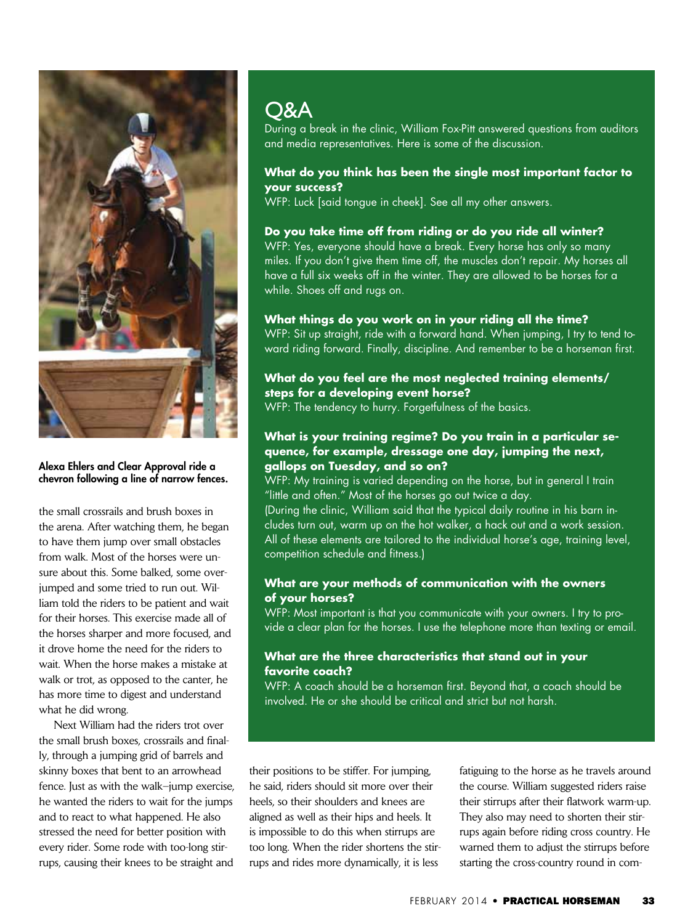

#### Alexa Ehlers and Clear Approval ride a chevron following a line of narrow fences.

the small crossrails and brush boxes in the arena. After watching them, he began to have them jump over small obstacles from walk. Most of the horses were unsure about this. Some balked, some overjumped and some tried to run out. William told the riders to be patient and wait for their horses. This exercise made all of the horses sharper and more focused, and it drove home the need for the riders to wait. When the horse makes a mistake at walk or trot, as opposed to the canter, he has more time to digest and understand what he did wrong.

Next William had the riders trot over the small brush boxes, crossrails and finally, through a jumping grid of barrels and skinny boxes that bent to an arrowhead fence. Just as with the walk–jump exercise, he wanted the riders to wait for the jumps and to react to what happened. He also stressed the need for better position with every rider. Some rode with too-long stirrups, causing their knees to be straight and

# **O&A**

During a break in the clinic, William Fox-Pitt answered questions from auditors and media representatives. Here is some of the discussion.

#### **What do you think has been the single most important factor to your success?**

WFP: Luck [said tongue in cheek]. See all my other answers.

#### **Do you take time off from riding or do you ride all winter?**

WFP: Yes, everyone should have a break. Every horse has only so many miles. If you don't give them time off, the muscles don't repair. My horses all have a full six weeks off in the winter. They are allowed to be horses for a while. Shoes off and rugs on.

#### **What things do you work on in your riding all the time?**

WFP: Sit up straight, ride with a forward hand. When jumping, I try to tend toward riding forward. Finally, discipline. And remember to be a horseman first.

#### **What do you feel are the most neglected training elements/ steps for a developing event horse?**

WFP: The tendency to hurry. Forgetfulness of the basics.

#### **What is your training regime? Do you train in a particular sequence, for example, dressage one day, jumping the next, gallops on Tuesday, and so on?**

WFP: My training is varied depending on the horse, but in general I train "little and often." Most of the horses go out twice a day.

(During the clinic, William said that the typical daily routine in his barn includes turn out, warm up on the hot walker, a hack out and a work session. All of these elements are tailored to the individual horse's age, training level, competition schedule and fitness.)

#### **What are your methods of communication with the owners of your horses?**

WFP: Most important is that you communicate with your owners. I try to provide a clear plan for the horses. I use the telephone more than texting or email.

#### **What are the three characteristics that stand out in your favorite coach?**

WFP: A coach should be a horseman first. Beyond that, a coach should be involved. He or she should be critical and strict but not harsh.

their positions to be stiffer. For jumping, he said, riders should sit more over their heels, so their shoulders and knees are aligned as well as their hips and heels. It is impossible to do this when stirrups are too long. When the rider shortens the stirrups and rides more dynamically, it is less

fatiguing to the horse as he travels around the course. William suggested riders raise their stirrups after their flatwork warm-up. They also may need to shorten their stirrups again before riding cross country. He warned them to adjust the stirrups before starting the cross-country round in com-